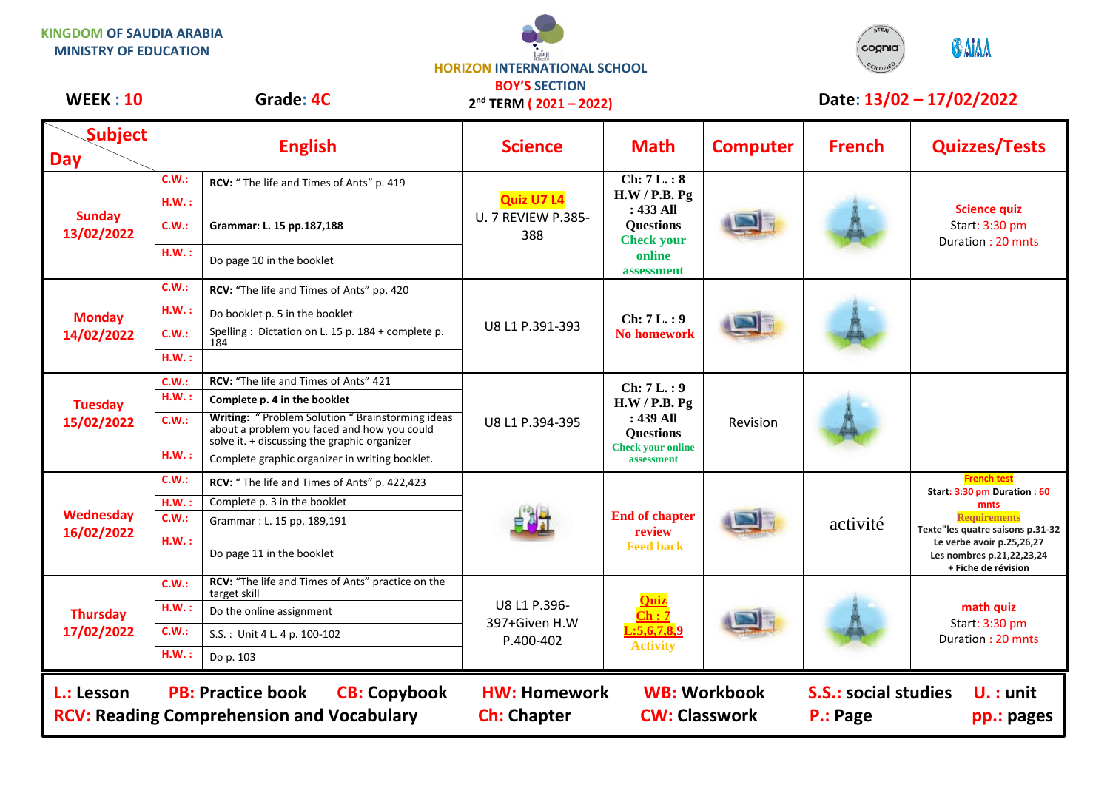**KINGDOM OF SAUDIA ARABIA MINISTRY OF EDUCATION**

## **HORIZON INTERNATIONAL SCHOOL BOY'S SECTION**



## **WEEK : 10** Grade: 4C 2<sup>nd</sup> TERM (2021 – 2022) Date: 13/02 – 17/02/2022

| WEEK: IU                                                                                                          | Grade: 4C |                                                                                                                                                   | $2nd$ TERM ( $2021 - 2022$ )                          |                                                                                                           | Date: 13/02 – 17/02/2022                    |               |                                                                                                                                          |  |
|-------------------------------------------------------------------------------------------------------------------|-----------|---------------------------------------------------------------------------------------------------------------------------------------------------|-------------------------------------------------------|-----------------------------------------------------------------------------------------------------------|---------------------------------------------|---------------|------------------------------------------------------------------------------------------------------------------------------------------|--|
| <b>Subject</b><br><b>Day</b>                                                                                      |           | <b>English</b>                                                                                                                                    | <b>Science</b>                                        | <b>Math</b>                                                                                               | <b>Computer</b>                             | <b>French</b> | <b>Quizzes/Tests</b>                                                                                                                     |  |
| <b>Sunday</b><br>13/02/2022                                                                                       | C.W.:     | RCV: "The life and Times of Ants" p. 419                                                                                                          | <b>Quiz U7 L4</b><br><b>U. 7 REVIEW P.385-</b><br>388 | Ch: 7L.: 8<br>H.W / P.B. Pg<br>: 433 All<br><b>Questions</b><br><b>Check your</b><br>online<br>assessment |                                             |               | <b>Science quiz</b><br>Start: 3:30 pm<br>Duration: 20 mnts                                                                               |  |
|                                                                                                                   | H.W.:     |                                                                                                                                                   |                                                       |                                                                                                           |                                             |               |                                                                                                                                          |  |
|                                                                                                                   | C.W.:     | Grammar: L. 15 pp.187,188                                                                                                                         |                                                       |                                                                                                           |                                             |               |                                                                                                                                          |  |
|                                                                                                                   | H.W.:     | Do page 10 in the booklet                                                                                                                         |                                                       |                                                                                                           |                                             |               |                                                                                                                                          |  |
|                                                                                                                   | C.W.:     | RCV: "The life and Times of Ants" pp. 420                                                                                                         |                                                       | Ch: 7L.: 9<br><b>No homework</b>                                                                          |                                             |               |                                                                                                                                          |  |
| <b>Monday</b><br>14/02/2022                                                                                       | H.W.:     | Do booklet p. 5 in the booklet                                                                                                                    |                                                       |                                                                                                           |                                             |               |                                                                                                                                          |  |
|                                                                                                                   | C.W.:     | Spelling: Dictation on L. 15 p. 184 + complete p.<br>184                                                                                          | U8 L1 P.391-393                                       |                                                                                                           |                                             |               |                                                                                                                                          |  |
|                                                                                                                   | H.W.:     |                                                                                                                                                   |                                                       |                                                                                                           |                                             |               |                                                                                                                                          |  |
| <b>Tuesday</b><br>15/02/2022                                                                                      | C.W.:     | RCV: "The life and Times of Ants" 421                                                                                                             | U8 L1 P.394-395                                       | Ch: 7L.: 9<br>H.W / P.B. Pg<br>: 439 All<br><b>Questions</b><br><b>Check your online</b><br>assessment    | Revision                                    |               |                                                                                                                                          |  |
|                                                                                                                   | H.W.:     | Complete p. 4 in the booklet                                                                                                                      |                                                       |                                                                                                           |                                             |               |                                                                                                                                          |  |
|                                                                                                                   | C.W.:     | Writing: "Problem Solution " Brainstorming ideas<br>about a problem you faced and how you could<br>solve it. $+$ discussing the graphic organizer |                                                       |                                                                                                           |                                             |               |                                                                                                                                          |  |
|                                                                                                                   | H.W.:     | Complete graphic organizer in writing booklet.                                                                                                    |                                                       |                                                                                                           |                                             |               |                                                                                                                                          |  |
|                                                                                                                   | C.W.:     | RCV: "The life and Times of Ants" p. 422,423                                                                                                      |                                                       | <b>End of chapter</b><br>review<br><b>Feed back</b>                                                       |                                             | activité      | <b>French test</b><br>Start: 3:30 pm Duration: 60                                                                                        |  |
|                                                                                                                   | H.W.      | Complete p. 3 in the booklet                                                                                                                      |                                                       |                                                                                                           |                                             |               | mnts                                                                                                                                     |  |
| Wednesday                                                                                                         | C.W.:     | Grammar: L. 15 pp. 189,191                                                                                                                        |                                                       |                                                                                                           |                                             |               | <b>Requirements</b><br>Texte"les quatre saisons p.31-32<br>Le verbe avoir p.25,26,27<br>Les nombres p.21,22,23,24<br>+ Fiche de révision |  |
| 16/02/2022                                                                                                        | H.W.:     | Do page 11 in the booklet                                                                                                                         |                                                       |                                                                                                           |                                             |               |                                                                                                                                          |  |
|                                                                                                                   | C.W.:     | RCV: "The life and Times of Ants" practice on the<br>target skill                                                                                 | U8 L1 P.396-<br>397+Given H.W<br>P.400-402            | <b>Quiz</b><br>$\overline{\text{Ch}:7}$<br>.5,6,7,8,9<br><b>Activity</b>                                  |                                             |               | math quiz<br>Start: 3:30 pm<br>Duration: 20 mnts                                                                                         |  |
| <b>Thursday</b><br>17/02/2022                                                                                     | H.W.:     | Do the online assignment                                                                                                                          |                                                       |                                                                                                           |                                             |               |                                                                                                                                          |  |
|                                                                                                                   | C.W.:     | S.S.: Unit 4 L. 4 p. 100-102                                                                                                                      |                                                       |                                                                                                           |                                             |               |                                                                                                                                          |  |
|                                                                                                                   | H.W.:     | Do p. 103                                                                                                                                         |                                                       |                                                                                                           |                                             |               |                                                                                                                                          |  |
| <b>PB: Practice book</b><br><b>CB: Copybook</b><br>L.: Lesson<br><b>RCV: Reading Comprehension and Vocabulary</b> |           |                                                                                                                                                   | <b>HW: Homework</b><br><b>Ch: Chapter</b>             |                                                                                                           | <b>WB: Workbook</b><br><b>CW: Classwork</b> |               | <b>S.S.: social studies</b><br>$U.:$ unit<br>P.: Page<br>pp.: pages                                                                      |  |